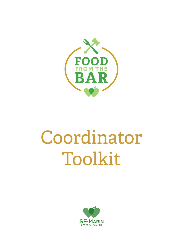

# Coordinator Toolkit

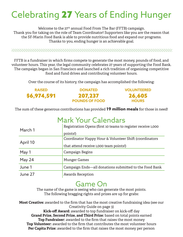# Celebrating 27 Years of Ending Hunger

Welcome to the 27<sup>th</sup> annual Food From The Bar (FFTB) campaign. Thank you for taking on the role of Team Coordinator! Supporters like you are the reason that the SF-Marin Food Bank is able to provide nutritious food and expand our programs. Thanks to you, ending hunger is an achievable goal.

FFTB is a fundraiser in which firms compete to generate the most money, pounds of food, and volunteer hours. This year, the legal community celebrates 27 years of supporting the Food Bank. The campaign began in San Francisco and launched a rich tradition of organizing competitive food and fund drives and contributing volunteer hours.

Over the course of its history, the campaign has accomplished the following:

| <b>RAISED</b> | <b>DONATED</b>        | <b>VOLUNTEERED</b> |
|---------------|-----------------------|--------------------|
| \$6,974,591   | 207,237               | 26,605             |
|               | <b>POUNDS OF FOOD</b> | <b>HOURS</b>       |

The sum of these generous contributions has provided **19 million meals** for those in need!

## Mark Your Calendars

| March 1  | Registration Opens (first 10 teams to register receive 1,000 |  |
|----------|--------------------------------------------------------------|--|
|          | points!)                                                     |  |
| April 10 | Coordinator Happy Hour & Volunteer Shift (coordinators       |  |
|          | that attend receive 1,000 team points!)                      |  |
| May 1    | Campaign Begins                                              |  |
| May 24   | <b>Munger Games</b>                                          |  |
| June 1   | Campaign Ends—all donations submitted to the Food Bank       |  |
| June 27  | <b>Awards Reception</b>                                      |  |

## Game On

The name of the game is seeing who can generate the most points. The following bragging rights and prizes are up for grabs:

**Most Creative:** awarded to the firm that has the most creative fundraising idea (see our Creativity Guide on page 3) **Kick-off Award:** awarded to top fundraiser on kick-off day

**Grand Prize, Second Prize, and Third Prize:** based on total points earned **Top Fundraiser:** awarded to the firm that raises the most money **Top Volunteer:** awarded to the firm that contributes the most volunteer hours **Per Capita Prize:** awarded to the firm that raises the most money per person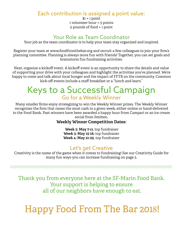#### Each contribution is assigned a point value:

 $$1 = 1$  point 1 volunteer hour = 5 points 5 pounds of food = 1 point

## Your Role as Team Coordinator

Your job as the team coordinator is to help your team stay organized and inspired.

Register your team at www.foodfromthebar.org and recruit a few colleagues to join your firm's planning committee. Planning is always more fun with friends! Together, you can set goals and brainstorm fun fundraising activities.

Next, organize a kickoff event. A kickoff event is an opportunity to share the details and value of supporting your drive with your colleagues and highlight the activities you've planned. We're happy to come and talk about local hunger and the impact of FFTB on the community. Common kick-off events include a staff breakfast or a "lunch and learn."

## Keys to a Successful Campaign Go for a Weekly Winner

Many smaller firms enjoy strategizing to win the Weekly Winner prizes. The Weekly Winner recognizes the firm that raises the most cash in a given week, either online or hand-delivered to the Food Bank. Past winners have been awarded a happy hour from Campari or an ice cream social from Smitten.

#### **Weekly Winner Competition Dates:**

 **Week 2: May 7-11**, top fundraiser **Week 3: May 15-18,** top fundraiser **Week 4: May 21-25,** top fundraiser

### Let's get Creative

Creativity is the name of the game when it comes to fundraising! See our Creativity Guide for many fun ways you can increase fundraising on page 3.

Thank you from everyone here at the SF-Marin Food Bank. Your support is helping to ensure all of our neighbors have enough to eat.

## Happy Food From The Bar 2018!